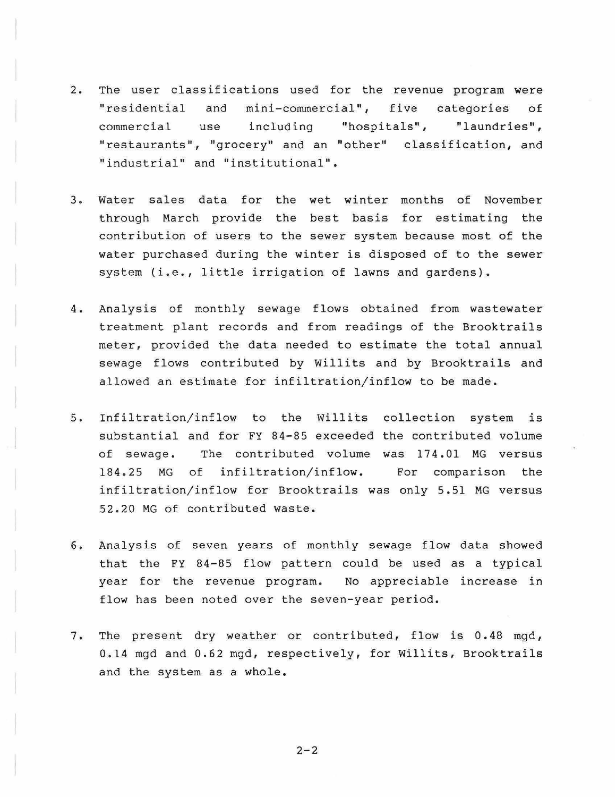- 2. The user classifications used for the revenue program were "residential and mini-commercial", five categories of commercial use including "hospitals", "laundries", "restaurants", "grocery" and an "other" classification, and "industrial" and "institutional".
- 3. Water sales data for the wet winter months of November through March provide the best basis for estimating the contribution of users to the sewer system because most of the water purchased during the winter is disposed of to the sewer system (i.e., little irrigation of lawns and gardens).
- 4. Analysis of monthly sewage flows obtained from wastewater treatment plant records and from readings of the Brooktrails meter, provided the data needed to estimate the total annual sewage flows contributed by Willits and by Brooktrails and allowed an estimate for infiltration/inflow to be made.
- 5. Infiltration/inflow to the Willits collection system is substantial and for FY 84-85 exceeded the contributed volume of sewage. The contributed volume was 174.01 MG versus 184.25 MG of infiltration/inflow. For comparison the infiltration/inflow for Brooktrails was only 5.51 MG versus 52.20 MG of contributed waste.
- 6. Analysis of seven years of monthly sewage flow data showed that the FY  $84-85$  flow pattern could be used as a typical year for the revenue program. No appreciable increase in flow has been noted over the seven-year period.
- 7. The present dry weather or contributed, flow is 0. 48 mgd, 0 . 14 mgd and 0.62 mgd, respectively, for Willits, Brooktrails and the system as a whole.

 $2 - 2$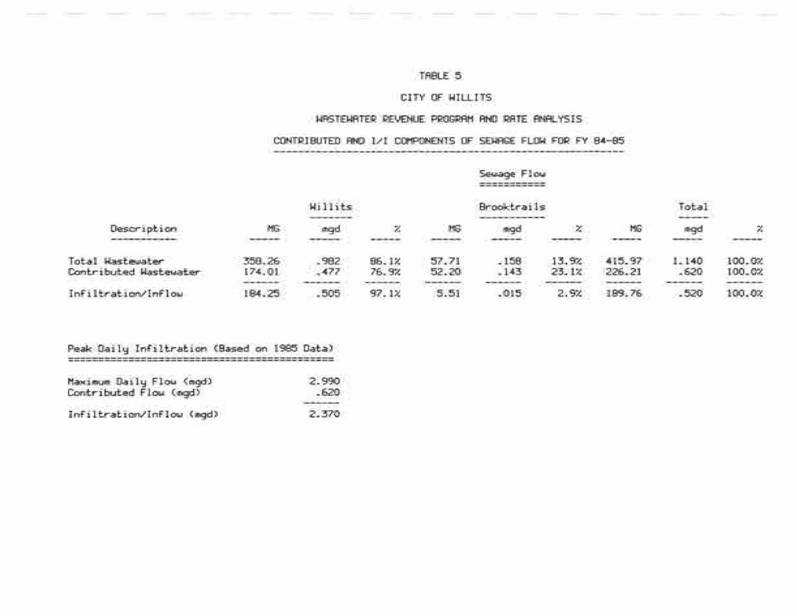# TABLE 5

#### CITY OF WILLITS

## HPSTEHRTER REVENUE PROGRAM AND RATE ANALYSIS

## CONTRIBUTED AND I/I COMPONENTS OF SEVAGE FLOW FOR FY 84-85

in and

|                                               |                                          |                                        |                                                                                                                                                                                                                                                                                                                                                                                                                                                                                                                                                                      | Sewage Flow<br>and the same control and control and control and |                    |                                           |                                                  |                             |                                      |  |
|-----------------------------------------------|------------------------------------------|----------------------------------------|----------------------------------------------------------------------------------------------------------------------------------------------------------------------------------------------------------------------------------------------------------------------------------------------------------------------------------------------------------------------------------------------------------------------------------------------------------------------------------------------------------------------------------------------------------------------|-----------------------------------------------------------------|--------------------|-------------------------------------------|--------------------------------------------------|-----------------------------|--------------------------------------|--|
|                                               |                                          | Willits                                |                                                                                                                                                                                                                                                                                                                                                                                                                                                                                                                                                                      |                                                                 | <b>Brooktrails</b> |                                           |                                                  |                             | Total<br><b>Book come to</b>         |  |
| Description                                   | MG                                       | agd                                    | χ                                                                                                                                                                                                                                                                                                                                                                                                                                                                                                                                                                    | MG                                                              | mad                | x                                         | MG                                               | agd                         | $\mathbb{X}$                         |  |
| winds of the country of the collection of the | age value sales with value of            | <b>CONTRACTOR</b> MATERIAL             |                                                                                                                                                                                                                                                                                                                                                                                                                                                                                                                                                                      | <b>Manufacturer and Constitution of the Constitution</b>        |                    |                                           |                                                  | <b>Butter Britain</b>       | Denviser exception (de               |  |
| Total Hastewater                              | 358.26                                   | .982                                   | 86.1%                                                                                                                                                                                                                                                                                                                                                                                                                                                                                                                                                                | 57.71                                                           | .158               | 13.9%                                     | 415.97                                           | 1.140                       | 100.02                               |  |
| Contributed Wastewater                        | 174.01<br>mail and addressed with a det- | .477<br>1994 Hotel Mary Loan Addressed | 76.9%<br>$\label{eq:3} \begin{minipage}{.4\linewidth} \begin{minipage}{.4\linewidth} \begin{minipage}{.4\linewidth} \begin{minipage}{.4\linewidth} \begin{minipage}{.4\linewidth} \end{minipage} \end{minipage} \end{minipage} \end{minipage} \begin{minipage}{.4\linewidth} \begin{minipage}{.4\linewidth} \begin{minipage}{.4\linewidth} \begin{minipage}{.4\linewidth} \end{minipage} \end{minipage} \end{minipage} \begin{minipage}{.4\linewidth} \begin{minipage}{.4\linewidth} \begin{minipage}{.4\linewidth} \begin{minipage}{.4\linewidth} \end{minipage} \$ | 52.20<br><b>STOR CARD HER HER CARD HERE!</b>                    | .143               | 23.1x<br><b>CARD AND HORIZON BUSINESS</b> | 226.21<br><b>Christmas Composition Addressed</b> | .620<br>100100-000000-00000 | 100.02<br>approprimers and deposited |  |
| Infiltration/Inflow                           | 184.25                                   | .505                                   | 97.1%                                                                                                                                                                                                                                                                                                                                                                                                                                                                                                                                                                | 5.51                                                            | .015               | 2.9%                                      | 189.76                                           | .520                        | 100.0%                               |  |

#### Peak Daily Infiltration (Based on 1985 Data)

| Maximum Daily Flow (mgd)<br>Contributed Flow (egd) | 2.990<br>. 620 |  |  |
|----------------------------------------------------|----------------|--|--|
|                                                    |                |  |  |
| Infiltration/Inflow (mgd)                          | 2.370          |  |  |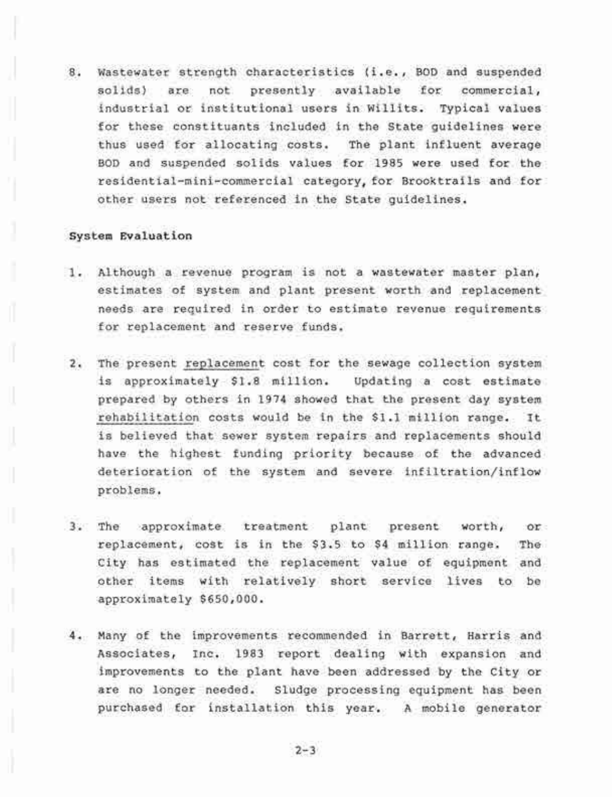Wastewater strength characteristics (i.e., BOD and suspended 8. presently available for commercial, solids) are not industrial or institutional users in Willits. Typical values for these constituants included in the State guidelines were thus used for allocating costs. The plant influent average BOD and suspended solids values for 1985 were used for the residential-mini-commercial category, for Brooktrails and for other users not referenced in the State guidelines.

#### System Evaluation

- 1. Although a revenue program is not a wastewater master plan, estimates of system and plant present worth and replacement needs are required in order to estimate revenue requirements for replacement and reserve funds.
- 2. The present replacement cost for the sewage collection system is approximately \$1.8 million. Updating a cost estimate prepared by others in 1974 showed that the present day system rehabilitation costs would be in the \$1.1 million range. It is believed that sewer system repairs and replacements should have the highest funding priority because of the advanced deterioration of the system and severe infiltration/inflow problems.
- approximate treatment plant present worth, 3. The or. replacement, cost is in the \$3.5 to \$4 million range. The City has estimated the replacement value of equipment and other items with relatively short service lives to be approximately \$650,000.
- 4. Many of the improvements recommended in Barrett, Harris and Associates, Inc. 1983 report dealing with expansion and improvements to the plant have been addressed by the City or are no longer needed. Sludge processing equipment has been purchased for installation this year. A mobile generator

 $2 - 3$